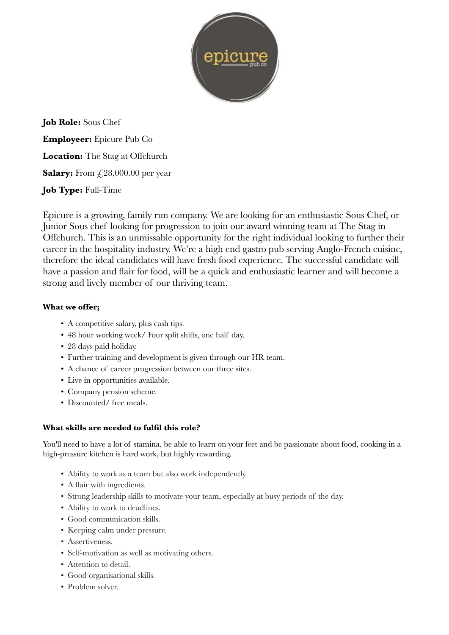

**Job Role:** Sous Chef **Employeer:** Epicure Pub Co Location: The Stag at Offchurch **Salary:** From £,28,000.00 per year **Job Type:** Full-Time

Epicure is a growing, family run company. We are looking for an enthusiastic Sous Chef, or Junior Sous chef looking for progression to join our award winning team at The Stag in Offchurch. This is an unmissable opportunity for the right individual looking to further their career in the hospitality industry. We're a high end gastro pub serving Anglo-French cuisine, therefore the ideal candidates will have fresh food experience. The successful candidate will have a passion and flair for food, will be a quick and enthusiastic learner and will become a strong and lively member of our thriving team.

## **What we offer;**

- A competitive salary, plus cash tips.
- 48 hour working week/ Four split shifts, one half day.
- 28 days paid holiday.
- Further training and development is given through our HR team.
- A chance of career progression between our three sites.
- Live in opportunities available.
- Company pension scheme.
- Discounted/ free meals.

## **What skills are needed to fulfil this role?**

You'll need to have a lot of stamina, be able to learn on your feet and be passionate about food, cooking in a high-pressure kitchen is hard work, but highly rewarding.

- Ability to work as a team but also work independently.
- A flair with ingredients.
- Strong leadership skills to motivate your team, especially at busy periods of the day.
- Ability to work to deadlines.
- Good communication skills.
- Keeping calm under pressure.
- Assertiveness.
- Self-motivation as well as motivating others.
- Attention to detail.
- Good organisational skills.
- Problem solver.